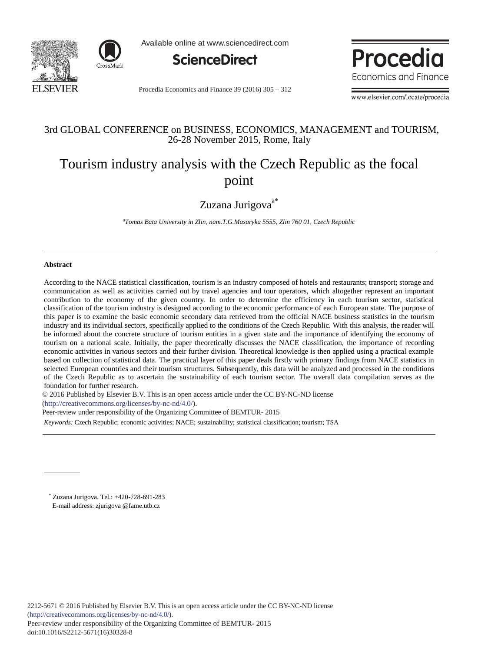



Available online at www.sciencedirect.com



Procedia Economics and Finance  $39(2016)$   $305 - 312$ 



www.elsevier.com/locate/procedia

# 3rd GLOBAL CONFERENCE on BUSINESS, ECONOMICS, MANAGEMENT and TOURISM, 26-28 November 2015, Rome, Italy

# Tourism industry analysis with the Czech Republic as the focal point

Zuzana Jurigova<sup>a\*</sup>

*a Tomas Bata University in Zlin, nam.T.G.Masaryka 5555, Zlin 760 01, Czech Republic*

#### **Abstract**

According to the NACE statistical classification, tourism is an industry composed of hotels and restaurants; transport; storage and communication as well as activities carried out by travel agencies and tour operators, which altogether represent an important contribution to the economy of the given country. In order to determine the efficiency in each tourism sector, statistical classification of the tourism industry is designed according to the economic performance of each European state. The purpose of this paper is to examine the basic economic secondary data retrieved from the official NACE business statistics in the tourism industry and its individual sectors, specifically applied to the conditions of the Czech Republic. With this analysis, the reader will be informed about the concrete structure of tourism entities in a given state and the importance of identifying the economy of tourism on a national scale. Initially, the paper theoretically discusses the NACE classification, the importance of recording economic activities in various sectors and their further division. Theoretical knowledge is then applied using a practical example based on collection of statistical data. The practical layer of this paper deals firstly with primary findings from NACE statistics in selected European countries and their tourism structures. Subsequently, this data will be analyzed and processed in the conditions of the Czech Republic as to ascertain the sustainability of each tourism sector. The overall data compilation serves as the foundation for further research.

© 2016 Published by Elsevier B.V. This is an open access article under the CC BY-NC-ND license (http://creativecommons.org/licenses/by-nc-nd/4.0/).

Peer-review under responsibility of the Organizing Committee of BEMTUR- 2015

*Keywords:* Czech Republic; economic activities; NACE; sustainability; statistical classification; tourism; TSA

\* Zuzana Jurigova. Tel.: +420-728-691-283 E-mail address: zjurigova @fame.utb.cz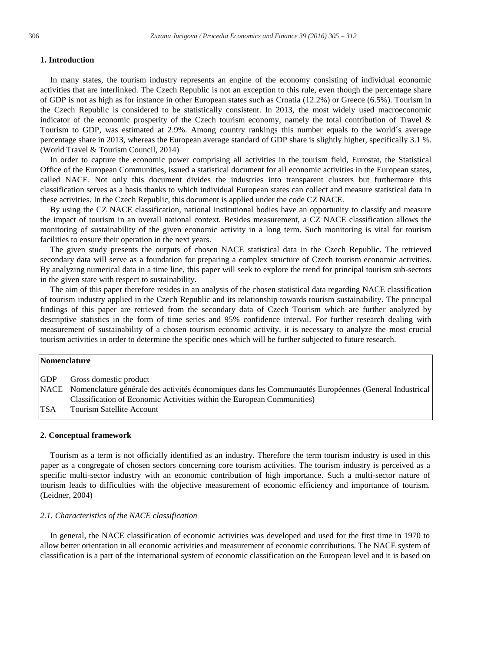# **1. Introduction**

In many states, the tourism industry represents an engine of the economy consisting of individual economic activities that are interlinked. The Czech Republic is not an exception to this rule, even though the percentage share of GDP is not as high as for instance in other European states such as Croatia (12.2%) or Greece (6.5%). Tourism in the Czech Republic is considered to be statistically consistent. In 2013, the most widely used macroeconomic indicator of the economic prosperity of the Czech tourism economy, namely the total contribution of Travel & Tourism to GDP, was estimated at 2.9%. Among country rankings this number equals to the world´s average percentage share in 2013, whereas the European average standard of GDP share is slightly higher, specifically 3.1 %. (World Travel & Tourism Council, 2014)

In order to capture the economic power comprising all activities in the tourism field, Eurostat, the Statistical Office of the European Communities, issued a statistical document for all economic activities in the European states, called NACE. Not only this document divides the industries into transparent clusters but furthermore this classification serves as a basis thanks to which individual European states can collect and measure statistical data in these activities. In the Czech Republic, this document is applied under the code CZ NACE.

By using the CZ NACE classification, national institutional bodies have an opportunity to classify and measure the impact of tourism in an overall national context. Besides measurement, a CZ NACE classification allows the monitoring of sustainability of the given economic activity in a long term. Such monitoring is vital for tourism facilities to ensure their operation in the next years.

The given study presents the outputs of chosen NACE statistical data in the Czech Republic. The retrieved secondary data will serve as a foundation for preparing a complex structure of Czech tourism economic activities. By analyzing numerical data in a time line, this paper will seek to explore the trend for principal tourism sub-sectors in the given state with respect to sustainability.

The aim of this paper therefore resides in an analysis of the chosen statistical data regarding NACE classification of tourism industry applied in the Czech Republic and its relationship towards tourism sustainability. The principal findings of this paper are retrieved from the secondary data of Czech Tourism which are further analyzed by descriptive statistics in the form of time series and 95% confidence interval. For further research dealing with measurement of sustainability of a chosen tourism economic activity, it is necessary to analyze the most crucial tourism activities in order to determine the specific ones which will be further subjected to future research.

# **Nomenclature**

GDP Gross domestic product NACE Nomenclature générale des activités économiques dans les Communautés Européennes (General Industrical Classification of Economic Activities within the European Communities) TSA Tourism Satellite Account

#### **2. Conceptual framework**

Tourism as a term is not officially identified as an industry. Therefore the term tourism industry is used in this paper as a congregate of chosen sectors concerning core tourism activities. The tourism industry is perceived as a specific multi-sector industry with an economic contribution of high importance. Such a multi-sector nature of tourism leads to difficulties with the objective measurement of economic efficiency and importance of tourism. (Leidner, 2004)

#### *2.1. Characteristics of the NACE classification*

In general, the NACE classification of economic activities was developed and used for the first time in 1970 to allow better orientation in all economic activities and measurement of economic contributions. The NACE system of classification is a part of the international system of economic classification on the European level and it is based on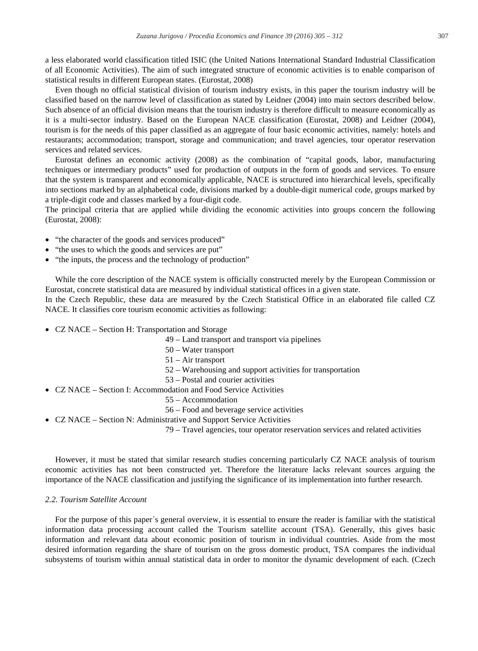a less elaborated world classification titled ISIC (the United Nations International Standard Industrial Classification of all Economic Activities). The aim of such integrated structure of economic activities is to enable comparison of statistical results in different European states. (Eurostat, 2008)

Even though no official statistical division of tourism industry exists, in this paper the tourism industry will be classified based on the narrow level of classification as stated by Leidner (2004) into main sectors described below. Such absence of an official division means that the tourism industry is therefore difficult to measure economically as it is a multi-sector industry. Based on the European NACE classification (Eurostat, 2008) and Leidner (2004), tourism is for the needs of this paper classified as an aggregate of four basic economic activities, namely: hotels and restaurants; accommodation; transport, storage and communication; and travel agencies, tour operator reservation services and related services.

Eurostat defines an economic activity (2008) as the combination of "capital goods, labor, manufacturing techniques or intermediary products" used for production of outputs in the form of goods and services. To ensure that the system is transparent and economically applicable, NACE is structured into hierarchical levels, specifically into sections marked by an alphabetical code, divisions marked by a double-digit numerical code, groups marked by a triple-digit code and classes marked by a four-digit code.

The principal criteria that are applied while dividing the economic activities into groups concern the following (Eurostat, 2008):

- "the character of the goods and services produced"
- "the uses to which the goods and services are put"
- "the inputs, the process and the technology of production"

While the core description of the NACE system is officially constructed merely by the European Commission or Eurostat, concrete statistical data are measured by individual statistical offices in a given state.

In the Czech Republic, these data are measured by the Czech Statistical Office in an elaborated file called CZ NACE. It classifies core tourism economic activities as following:

- CZ NACE Section H: Transportation and Storage
	- 49 Land transport and transport via pipelines
	- 50 Water transport
	- 51 Air transport
	- 52 Warehousing and support activities for transportation
	- 53 Postal and courier activities
- CZ NACE Section I: Accommodation and Food Service Activities
	- 55 Accommodation
	- 56 Food and beverage service activities
- $\bullet$  CZ NACE Section N: Administrative and Support Service Activities
	- 79 Travel agencies, tour operator reservation services and related activities

However, it must be stated that similar research studies concerning particularly CZ NACE analysis of tourism economic activities has not been constructed yet. Therefore the literature lacks relevant sources arguing the importance of the NACE classification and justifying the significance of its implementation into further research.

# *2.2. Tourism Satellite Account*

For the purpose of this paper´s general overview, it is essential to ensure the reader is familiar with the statistical information data processing account called the Tourism satellite account (TSA). Generally, this gives basic information and relevant data about economic position of tourism in individual countries. Aside from the most desired information regarding the share of tourism on the gross domestic product, TSA compares the individual subsystems of tourism within annual statistical data in order to monitor the dynamic development of each. (Czech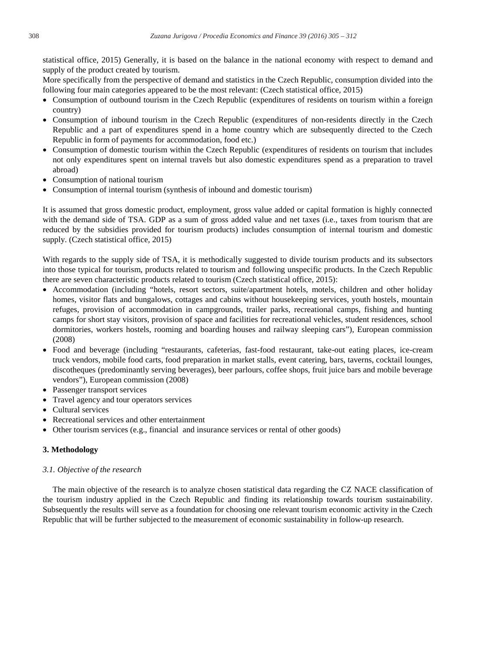statistical office, 2015) Generally, it is based on the balance in the national economy with respect to demand and supply of the product created by tourism.

More specifically from the perspective of demand and statistics in the Czech Republic, consumption divided into the following four main categories appeared to be the most relevant: (Czech statistical office, 2015)

- Consumption of outbound tourism in the Czech Republic (expenditures of residents on tourism within a foreign country)
- Consumption of inbound tourism in the Czech Republic (expenditures of non-residents directly in the Czech Republic and a part of expenditures spend in a home country which are subsequently directed to the Czech Republic in form of payments for accommodation, food etc.)
- Consumption of domestic tourism within the Czech Republic (expenditures of residents on tourism that includes not only expenditures spent on internal travels but also domestic expenditures spend as a preparation to travel abroad)
- Consumption of national tourism
- Consumption of internal tourism (synthesis of inbound and domestic tourism)

It is assumed that gross domestic product, employment, gross value added or capital formation is highly connected with the demand side of TSA. GDP as a sum of gross added value and net taxes (i.e., taxes from tourism that are reduced by the subsidies provided for tourism products) includes consumption of internal tourism and domestic supply. (Czech statistical office, 2015)

With regards to the supply side of TSA, it is methodically suggested to divide tourism products and its subsectors into those typical for tourism, products related to tourism and following unspecific products. In the Czech Republic there are seven characteristic products related to tourism (Czech statistical office, 2015):

- Accommodation (including "hotels, resort sectors, suite/apartment hotels, motels, children and other holiday homes, visitor flats and bungalows, cottages and cabins without housekeeping services, youth hostels, mountain refuges, provision of accommodation in campgrounds, trailer parks, recreational camps, fishing and hunting camps for short stay visitors, provision of space and facilities for recreational vehicles, student residences, school dormitories, workers hostels, rooming and boarding houses and railway sleeping cars"), European commission (2008)
- Food and beverage (including "restaurants, cafeterias, fast-food restaurant, take-out eating places, ice-cream truck vendors, mobile food carts, food preparation in market stalls, event catering, bars, taverns, cocktail lounges, discotheques (predominantly serving beverages), beer parlours, coffee shops, fruit juice bars and mobile beverage vendors"), European commission (2008)
- Passenger transport services
- Travel agency and tour operators services
- Cultural services
- Recreational services and other entertainment
- Other tourism services (e.g., financial and insurance services or rental of other goods)

# **3. Methodology**

# *3.1. Objective of the research*

The main objective of the research is to analyze chosen statistical data regarding the CZ NACE classification of the tourism industry applied in the Czech Republic and finding its relationship towards tourism sustainability. Subsequently the results will serve as a foundation for choosing one relevant tourism economic activity in the Czech Republic that will be further subjected to the measurement of economic sustainability in follow-up research.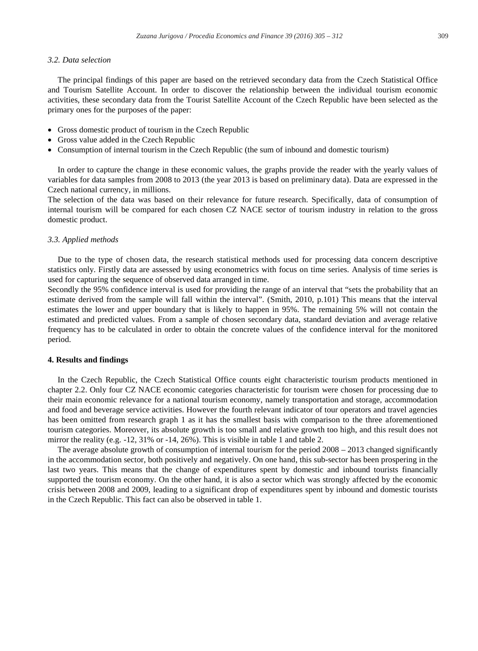# *3.2. Data selection*

The principal findings of this paper are based on the retrieved secondary data from the Czech Statistical Office and Tourism Satellite Account. In order to discover the relationship between the individual tourism economic activities, these secondary data from the Tourist Satellite Account of the Czech Republic have been selected as the primary ones for the purposes of the paper:

- Gross domestic product of tourism in the Czech Republic
- Gross value added in the Czech Republic
- Consumption of internal tourism in the Czech Republic (the sum of inbound and domestic tourism)

In order to capture the change in these economic values, the graphs provide the reader with the yearly values of variables for data samples from 2008 to 2013 (the year 2013 is based on preliminary data). Data are expressed in the Czech national currency, in millions.

The selection of the data was based on their relevance for future research. Specifically, data of consumption of internal tourism will be compared for each chosen CZ NACE sector of tourism industry in relation to the gross domestic product.

#### *3.3. Applied methods*

Due to the type of chosen data, the research statistical methods used for processing data concern descriptive statistics only. Firstly data are assessed by using econometrics with focus on time series. Analysis of time series is used for capturing the sequence of observed data arranged in time.

Secondly the 95% confidence interval is used for providing the range of an interval that "sets the probability that an estimate derived from the sample will fall within the interval". (Smith, 2010, p.101) This means that the interval estimates the lower and upper boundary that is likely to happen in 95%. The remaining 5% will not contain the estimated and predicted values. From a sample of chosen secondary data, standard deviation and average relative frequency has to be calculated in order to obtain the concrete values of the confidence interval for the monitored period.

#### **4. Results and findings**

In the Czech Republic, the Czech Statistical Office counts eight characteristic tourism products mentioned in chapter 2.2. Only four CZ NACE economic categories characteristic for tourism were chosen for processing due to their main economic relevance for a national tourism economy, namely transportation and storage, accommodation and food and beverage service activities. However the fourth relevant indicator of tour operators and travel agencies has been omitted from research graph 1 as it has the smallest basis with comparison to the three aforementioned tourism categories. Moreover, its absolute growth is too small and relative growth too high, and this result does not mirror the reality (e.g. -12, 31% or -14, 26%). This is visible in table 1 and table 2.

The average absolute growth of consumption of internal tourism for the period 2008 – 2013 changed significantly in the accommodation sector, both positively and negatively. On one hand, this sub-sector has been prospering in the last two years. This means that the change of expenditures spent by domestic and inbound tourists financially supported the tourism economy. On the other hand, it is also a sector which was strongly affected by the economic crisis between 2008 and 2009, leading to a significant drop of expenditures spent by inbound and domestic tourists in the Czech Republic. This fact can also be observed in table 1.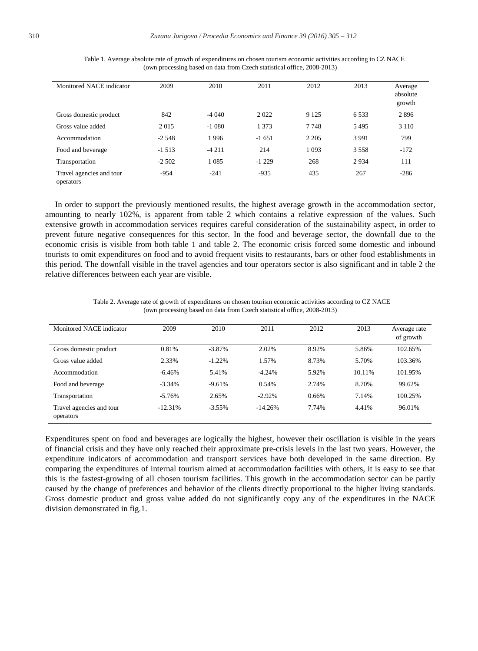| Monitored NACE indicator              | 2009     | 2010    | 2011    | 2012    | 2013    | Average<br>absolute<br>growth |
|---------------------------------------|----------|---------|---------|---------|---------|-------------------------------|
| Gross domestic product                | 842      | $-4040$ | 2022    | 9 1 2 5 | 6 5 3 3 | 2896                          |
| Gross value added                     | 2015     | $-1080$ | 1 3 7 3 | 7 7 4 8 | 5495    | 3 1 1 0                       |
| Accommodation                         | $-2,548$ | 1996    | $-1651$ | 2 2 0 5 | 3 9 9 1 | 799                           |
| Food and beverage                     | $-1513$  | $-4211$ | 214     | 1 0 9 3 | 3558    | $-172$                        |
| Transportation                        | $-2,502$ | 1085    | $-1229$ | 268     | 2934    | 111                           |
| Travel agencies and tour<br>operators | $-954$   | $-241$  | $-935$  | 435     | 267     | $-286$                        |

 Table 1. Average absolute rate of growth of expenditures on chosen tourism economic activities according to CZ NACE (own processing based on data from Czech statistical office, 2008-2013)

In order to support the previously mentioned results, the highest average growth in the accommodation sector, amounting to nearly 102%, is apparent from table 2 which contains a relative expression of the values. Such extensive growth in accommodation services requires careful consideration of the sustainability aspect, in order to prevent future negative consequences for this sector. In the food and beverage sector, the downfall due to the economic crisis is visible from both table 1 and table 2. The economic crisis forced some domestic and inbound tourists to omit expenditures on food and to avoid frequent visits to restaurants, bars or other food establishments in this period. The downfall visible in the travel agencies and tour operators sector is also significant and in table 2 the relative differences between each year are visible.

 Table 2. Average rate of growth of expenditures on chosen tourism economic activities according to CZ NACE (own processing based on data from Czech statistical office, 2008-2013)

| Monitored NACE indicator              | 2009      | 2010      | 2011      | 2012  | 2013   | Average rate<br>of growth |
|---------------------------------------|-----------|-----------|-----------|-------|--------|---------------------------|
| Gross domestic product                | 0.81%     | $-3.87\%$ | 2.02%     | 8.92% | 5.86%  | 102.65%                   |
| Gross value added                     | 2.33%     | $-1.22%$  | 1.57%     | 8.73% | 5.70%  | 103.36%                   |
| Accommodation                         | $-6.46%$  | 5.41%     | $-4.24%$  | 5.92% | 10.11% | 101.95%                   |
| Food and beverage                     | $-3.34\%$ | $-9.61%$  | 0.54%     | 2.74% | 8.70%  | 99.62%                    |
| Transportation                        | $-5.76%$  | 2.65%     | $-2.92%$  | 0.66% | 7.14%  | 100.25%                   |
| Travel agencies and tour<br>operators | $-12.31%$ | $-3.55\%$ | $-14.26%$ | 7.74% | 4.41%  | 96.01%                    |

Expenditures spent on food and beverages are logically the highest, however their oscillation is visible in the years of financial crisis and they have only reached their approximate pre-crisis levels in the last two years. However, the expenditure indicators of accommodation and transport services have both developed in the same direction. By comparing the expenditures of internal tourism aimed at accommodation facilities with others, it is easy to see that this is the fastest-growing of all chosen tourism facilities. This growth in the accommodation sector can be partly caused by the change of preferences and behavior of the clients directly proportional to the higher living standards. Gross domestic product and gross value added do not significantly copy any of the expenditures in the NACE division demonstrated in fig.1.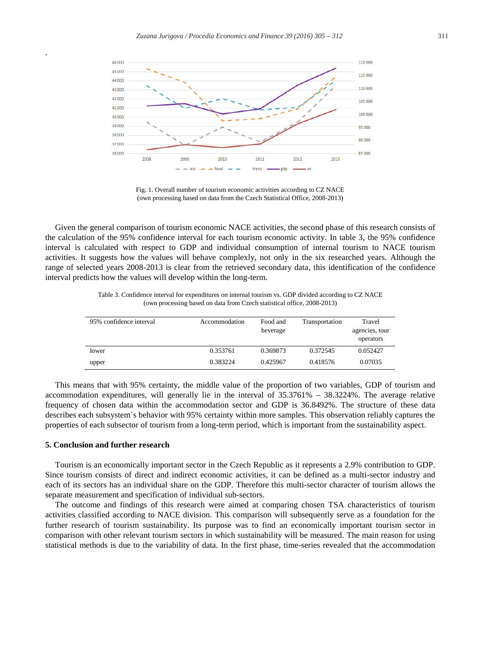

Fig. 1. Overall number of tourism economic activities according to CZ NACE (own processing based on data from the Czech Statistical Office, 2008-2013)

Given the general comparison of tourism economic NACE activities, the second phase of this research consists of the calculation of the 95% confidence interval for each tourism economic activity. In table 3, the 95% confidence interval is calculated with respect to GDP and individual consumption of internal tourism to NACE tourism activities. It suggests how the values will behave complexly, not only in the six researched years. Although the range of selected years 2008-2013 is clear from the retrieved secondary data, this identification of the confidence interval predicts how the values will develop within the long-term.

Table 3. Confidence interval for expenditures on internal tourism vs. GDP divided according to CZ NACE (own processing based on data from Czech statistical office, 2008-2013)

| 95% confidence interval | Accommodation | Food and<br>beverage | Transportation | Travel<br>agencies, tour<br>operators |
|-------------------------|---------------|----------------------|----------------|---------------------------------------|
| lower                   | 0.353761      | 0.369873             | 0.372545       | 0.052427                              |
| upper                   | 0.383224      | 0.425967             | 0.418576       | 0.07035                               |

This means that with 95% certainty, the middle value of the proportion of two variables, GDP of tourism and accommodation expenditures, will generally lie in the interval of 35.3761% – 38.3224%. The average relative frequency of chosen data within the accommodation sector and GDP is 36.8492%. The structure of these data describes each subsystem´s behavior with 95% certainty within more samples. This observation reliably captures the properties of each subsector of tourism from a long-term period, which is important from the sustainability aspect.

#### **5. Conclusion and further research**

.

Tourism is an economically important sector in the Czech Republic as it represents a 2.9% contribution to GDP. Since tourism consists of direct and indirect economic activities, it can be defined as a multi-sector industry and each of its sectors has an individual share on the GDP. Therefore this multi-sector character of tourism allows the separate measurement and specification of individual sub-sectors.

The outcome and findings of this research were aimed at comparing chosen TSA characteristics of tourism activities classified according to NACE division. This comparison will subsequently serve as a foundation for the further research of tourism sustainability. Its purpose was to find an economically important tourism sector in comparison with other relevant tourism sectors in which sustainability will be measured. The main reason for using statistical methods is due to the variability of data. In the first phase, time-series revealed that the accommodation